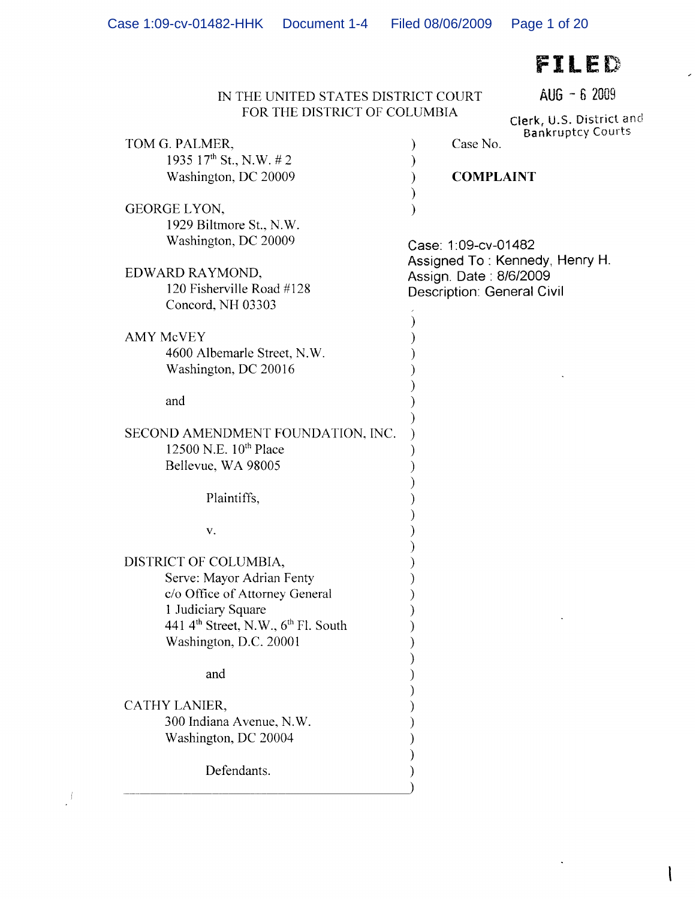$\frac{1}{2}$ 

# FILED

 $AUG = 62009$ 

# IN THE UNITED STATES DISTRICT COURT FOR THE DISTRICT OF COLUMBIA

| FOR THE DISTRICT OF COLUMBIA            |                                   | Clerk, U.S. District and       |
|-----------------------------------------|-----------------------------------|--------------------------------|
|                                         |                                   | <b>Bankruptcy Courts</b>       |
| TOM G. PALMER,                          | Case No.                          |                                |
| 1935 $17th$ St., N.W. # 2               |                                   |                                |
| Washington, DC 20009                    | <b>COMPLAINT</b>                  |                                |
|                                         |                                   |                                |
| GEORGE LYON,                            |                                   |                                |
| 1929 Biltmore St., N.W.                 |                                   |                                |
| Washington, DC 20009                    | Case: 1:09-cv-01482               |                                |
|                                         |                                   | Assigned To: Kennedy, Henry H. |
| EDWARD RAYMOND,                         | Assign. Date: 8/6/2009            |                                |
| 120 Fisherville Road #128               | <b>Description: General Civil</b> |                                |
| Concord, NH 03303                       |                                   |                                |
|                                         |                                   |                                |
| <b>AMY McVEY</b>                        |                                   |                                |
| 4600 Albemarle Street, N.W.             |                                   |                                |
| Washington, DC 20016                    |                                   |                                |
|                                         |                                   |                                |
| and                                     |                                   |                                |
|                                         |                                   |                                |
| SECOND AMENDMENT FOUNDATION, INC.       |                                   |                                |
| 12500 N.E. 10th Place                   |                                   |                                |
| Bellevue, WA 98005                      |                                   |                                |
|                                         |                                   |                                |
| Plaintiffs,                             |                                   |                                |
|                                         |                                   |                                |
|                                         |                                   |                                |
| V.                                      |                                   |                                |
| DISTRICT OF COLUMBIA,                   |                                   |                                |
| Serve: Mayor Adrian Fenty               |                                   |                                |
| c/o Office of Attorney General          |                                   |                                |
| 1 Judiciary Square                      |                                   |                                |
| 441 $4th$ Street, N.W., $6th$ Fl. South |                                   |                                |
|                                         |                                   |                                |
| Washington, D.C. 20001                  |                                   |                                |
|                                         |                                   |                                |
| and                                     |                                   |                                |
|                                         |                                   |                                |
| CATHY LANIER,                           |                                   |                                |
| 300 Indiana Avenue, N.W.                |                                   |                                |
| Washington, DC 20004                    |                                   |                                |
|                                         |                                   |                                |
| Defendants.                             |                                   |                                |
|                                         |                                   |                                |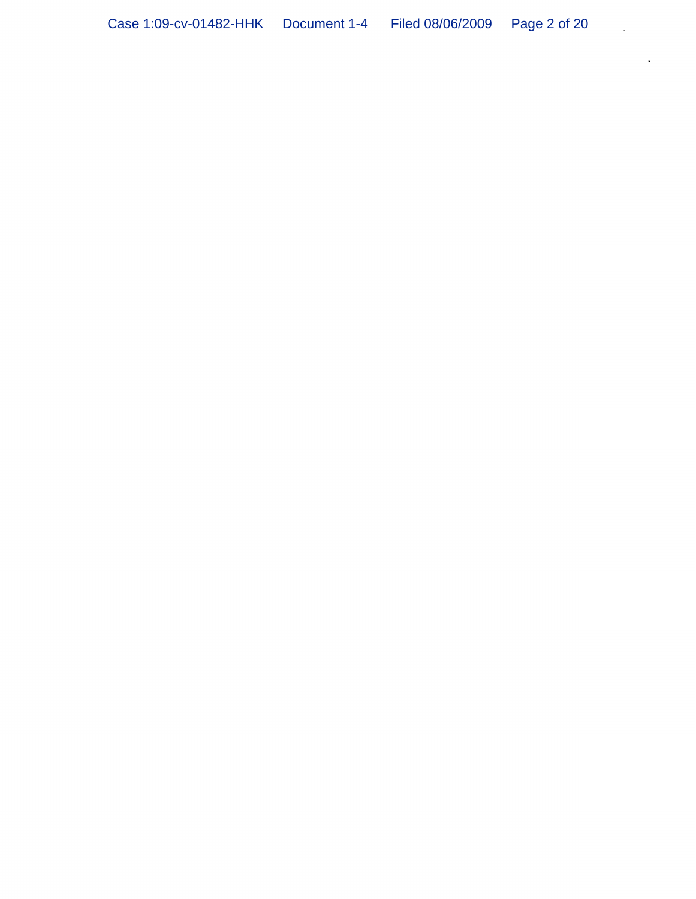$\mathcal{L}$ 

 $\ddot{\phantom{0}}$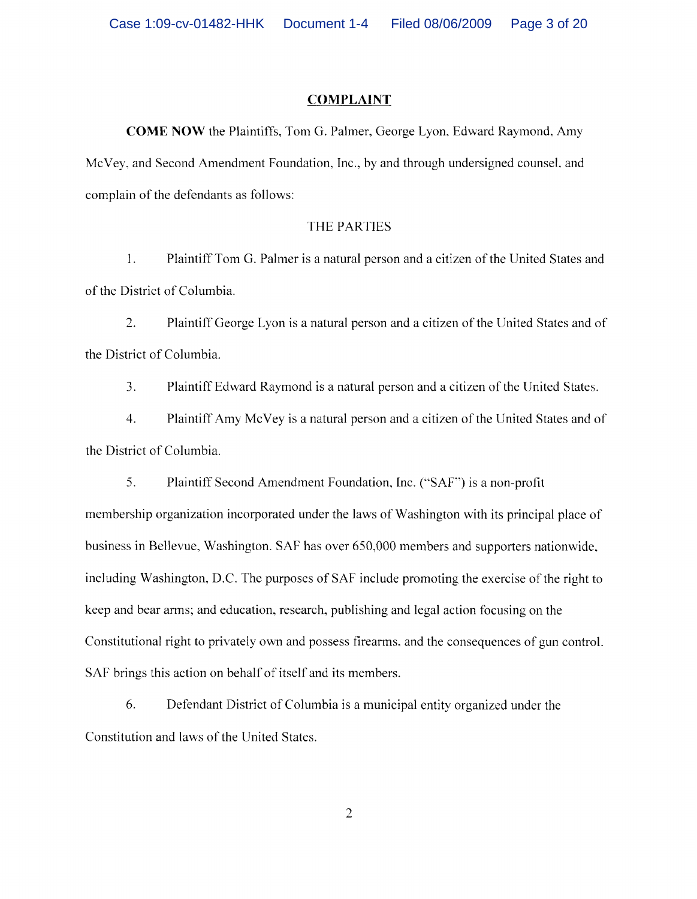#### **COMPLAINT**

**COME NOW** the Plaintiffs, Tom G. Palmer, George Lyon, Edward Raymond, Amy McVey, and Second Amendment Foundation, Inc., by and through undersigned counsel, and complain of the defendants as follows:

#### THE PARTIES

 $1.$ Plaintiff Tom G. Palmer is a natural person and a citizen of the United States and of the District of Columbia.

 $\overline{2}$ . Plaintiff George Lyon is a natural person and a citizen of the United States and of the District of Columbia.

 $\overline{3}$ . Plaintiff Edward Raymond is a natural person and a citizen of the United States.

Plaintiff Amy McVey is a natural person and a citizen of the United States and of  $4.$ the District of Columbia.

 $5.$ Plaintiff Second Amendment Foundation, Inc. ("SAF") is a non-profit membership organization incorporated under the laws of Washington with its principal place of business in Bellevue, Washington. SAF has over 650,000 members and supporters nationwide, including Washington, D.C. The purposes of SAF include promoting the exercise of the right to keep and bear arms; and education, research, publishing and legal action focusing on the Constitutional right to privately own and possess firearms, and the consequences of gun control. SAF brings this action on behalf of itself and its members.

6. Defendant District of Columbia is a municipal entity organized under the Constitution and laws of the United States.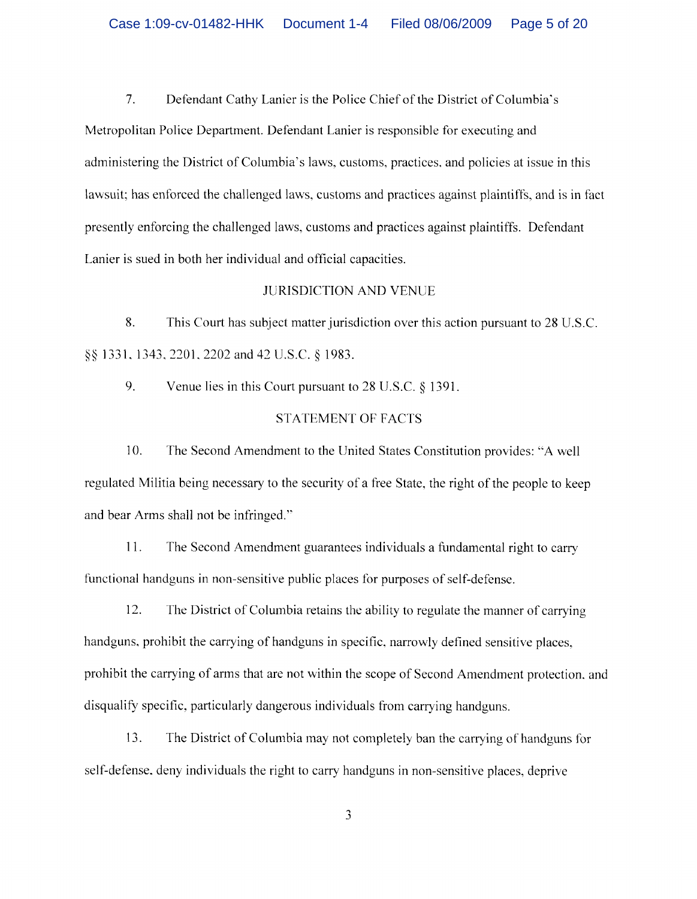$7.$ Defendant Cathy Lanier is the Police Chief of the District of Columbia's Metropolitan Police Department. Defendant Lanier is responsible for executing and administering the District of Columbia's laws, customs, practices, and policies at issue in this lawsuit; has enforced the challenged laws, customs and practices against plaintiffs, and is in fact presently enforcing the challenged laws, customs and practices against plaintiffs. Defendant Lanier is sued in both her individual and official capacities.

#### **JURISDICTION AND VENUE**

8. This Court has subject matter jurisdiction over this action pursuant to 28 U.S.C. §§ 1331, 1343, 2201, 2202 and 42 U.S.C. § 1983.

9. Venue lies in this Court pursuant to 28 U.S.C. § 1391.

### **STATEMENT OF FACTS**

 $10.$ The Second Amendment to the United States Constitution provides: "A well regulated Militia being necessary to the security of a free State, the right of the people to keep and bear Arms shall not be infringed."

11. The Second Amendment guarantees individuals a fundamental right to carry functional handguns in non-sensitive public places for purposes of self-defense.

12. The District of Columbia retains the ability to regulate the manner of carrying handguns, prohibit the carrying of handguns in specific, narrowly defined sensitive places, prohibit the carrying of arms that are not within the scope of Second Amendment protection, and disqualify specific, particularly dangerous individuals from carrying handguns.

 $13.$ The District of Columbia may not completely ban the carrying of handguns for self-defense, deny individuals the right to carry handguns in non-sensitive places, deprive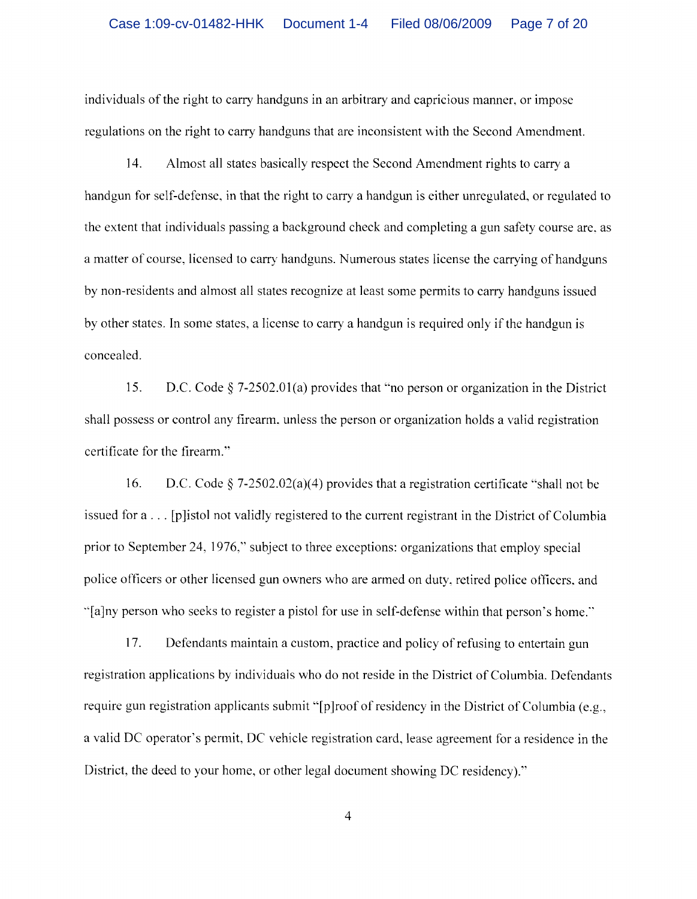individuals of the right to carry handguns in an arbitrary and capricious manner, or impose regulations on the right to carry handguns that are inconsistent with the Second Amendment.

14. Almost all states basically respect the Second Amendment rights to carry a handgun for self-defense, in that the right to carry a handgun is either unregulated, or regulated to the extent that individuals passing a background check and completing a gun safety course are, as a matter of course, licensed to carry handguns. Numerous states license the carrying of handguns by non-residents and almost all states recognize at least some permits to carry handguns issued by other states. In some states, a license to carry a handgun is required only if the handgun is concealed.

15. D.C. Code  $\S$  7-2502.01(a) provides that "no person or organization in the District shall possess or control any firearm, unless the person or organization holds a valid registration certificate for the firearm."

16. D.C. Code  $\S$  7-2502.02(a)(4) provides that a registration certificate "shall not be issued for a . . . [p] istol not validly registered to the current registrant in the District of Columbia prior to September 24, 1976," subject to three exceptions: organizations that employ special police officers or other licensed gun owners who are armed on duty, retired police officers, and "[a]ny person who seeks to register a pistol for use in self-defense within that person's home."

17. Defendants maintain a custom, practice and policy of refusing to entertain gun registration applications by individuals who do not reside in the District of Columbia. Defendants require gun registration applicants submit "[p]roof of residency in the District of Columbia (e.g., a valid DC operator's permit, DC vehicle registration card, lease agreement for a residence in the District, the deed to your home, or other legal document showing DC residency)."

 $\overline{4}$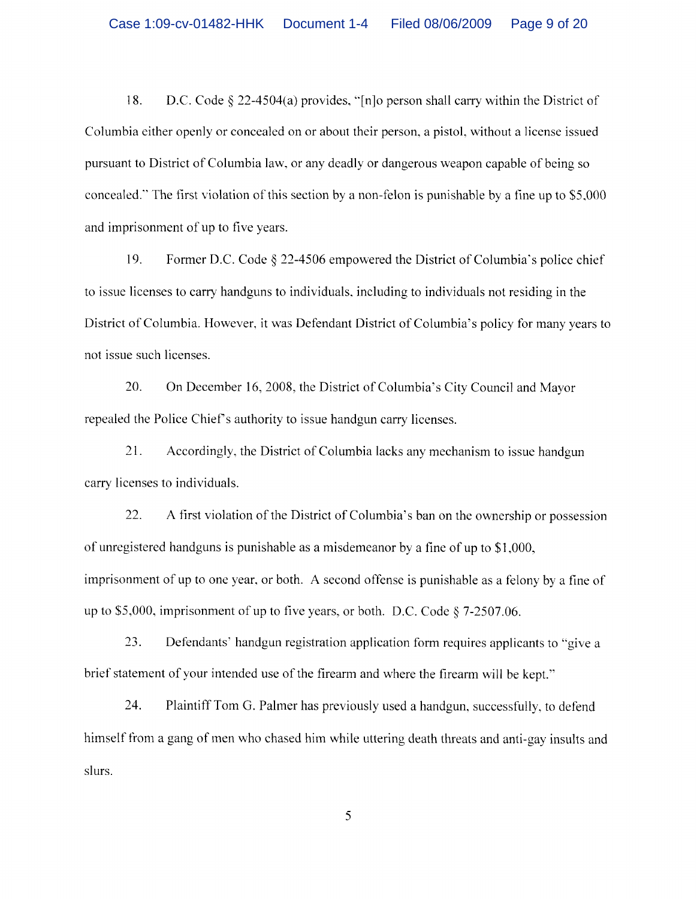18. D.C. Code  $\S$  22-4504(a) provides, "[n] person shall carry within the District of Columbia either openly or concealed on or about their person, a pistol, without a license issued pursuant to District of Columbia law, or any deadly or dangerous weapon capable of being so concealed." The first violation of this section by a non-felon is punishable by a fine up to \$5,000 and imprisonment of up to five years.

19. Former D.C. Code § 22-4506 empowered the District of Columbia's police chief to issue licenses to carry handguns to individuals, including to individuals not residing in the District of Columbia. However, it was Defendant District of Columbia's policy for many years to not issue such licenses.

20. On December 16, 2008, the District of Columbia's City Council and Mayor repealed the Police Chief's authority to issue handgun carry licenses.

21. Accordingly, the District of Columbia lacks any mechanism to issue handgun carry licenses to individuals.

22. A first violation of the District of Columbia's ban on the ownership or possession of unregistered handguns is punishable as a misdemean or by a fine of up to \$1,000, imprisonment of up to one year, or both. A second offense is punishable as a felony by a fine of up to \$5,000, imprisonment of up to five years, or both. D.C. Code  $\S$  7-2507.06.

23. Defendants' handgun registration application form requires applicants to "give a brief statement of your intended use of the firearm and where the firearm will be kept."

Plaintiff Tom G. Palmer has previously used a handgun, successfully, to defend 24. himself from a gang of men who chased him while uttering death threats and anti-gay insults and slurs.

5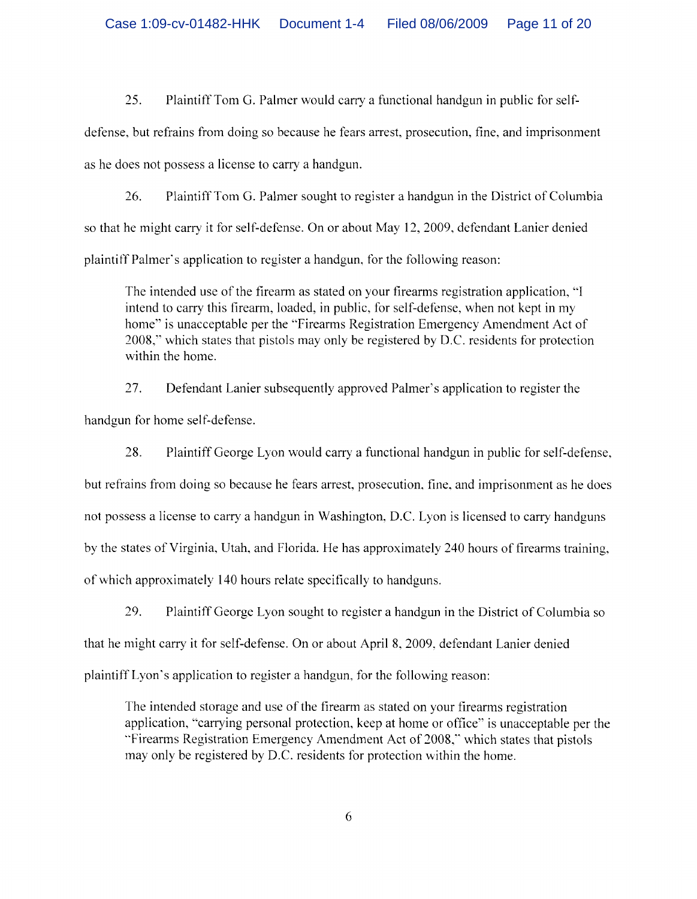Plaintiff Tom G. Palmer would carry a functional handgun in public for self-25.

defense, but refrains from doing so because he fears arrest, prosecution, fine, and imprisonment as he does not possess a license to carry a handgun.

26. Plaintiff Tom G. Palmer sought to register a handgun in the District of Columbia so that he might carry it for self-defense. On or about May 12, 2009, defendant Lanier denied plaintiff Palmer's application to register a handgun, for the following reason:

The intended use of the firearm as stated on your firearms registration application, "I intend to carry this firearm, loaded, in public, for self-defense, when not kept in my home" is unacceptable per the "Firearms Registration Emergency Amendment Act of 2008," which states that pistols may only be registered by D.C. residents for protection within the home.

27. Defendant Lanier subsequently approved Palmer's application to register the handgun for home self-defense.

28. Plaintiff George Lyon would carry a functional handgun in public for self-defense, but refrains from doing so because he fears arrest, prosecution, fine, and imprisonment as he does not possess a license to carry a handgun in Washington, D.C. Lyon is licensed to carry handguns by the states of Virginia, Utah, and Florida. He has approximately 240 hours of firearms training, of which approximately 140 hours relate specifically to handguns.

29. Plaintiff George Lyon sought to register a handgun in the District of Columbia so that he might carry it for self-defense. On or about April 8, 2009, defendant Lanier denied plaintiff Lyon's application to register a handgun, for the following reason:

The intended storage and use of the firearm as stated on your firearms registration application, "carrying personal protection, keep at home or office" is unacceptable per the "Firearms Registration Emergency Amendment Act of 2008," which states that pistols may only be registered by D.C. residents for protection within the home.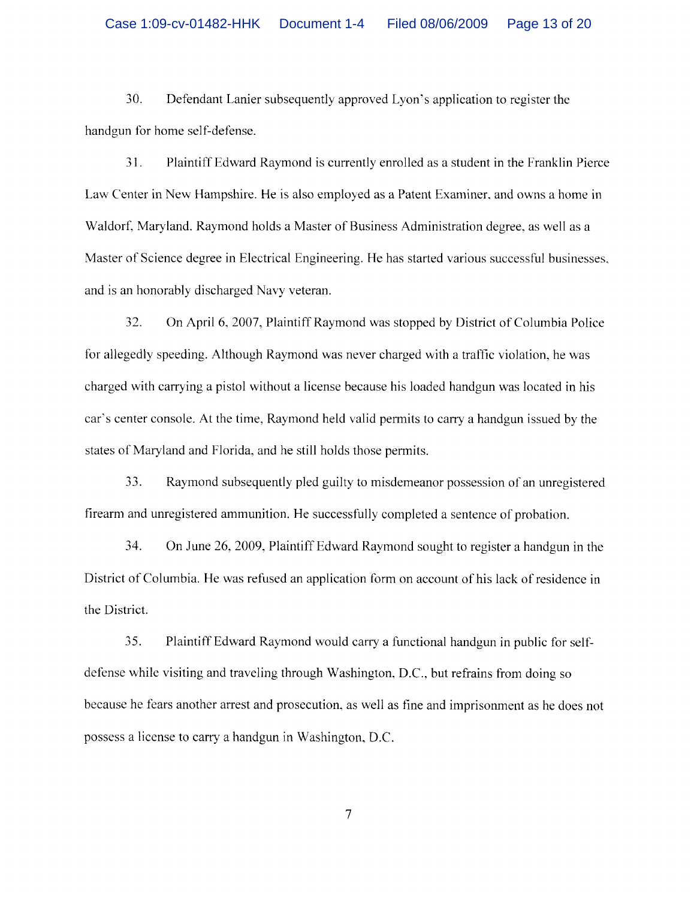30. Defendant Lanier subsequently approved Lyon's application to register the handgun for home self-defense.

 $31.$ Plaintiff Edward Raymond is currently enrolled as a student in the Franklin Pierce Law Center in New Hampshire. He is also employed as a Patent Examiner, and owns a home in Waldorf, Maryland. Raymond holds a Master of Business Administration degree, as well as a Master of Science degree in Electrical Engineering. He has started various successful businesses. and is an honorably discharged Navy veteran.

32. On April 6, 2007, Plaintiff Raymond was stopped by District of Columbia Police for allegedly speeding. Although Raymond was never charged with a traffic violation, he was charged with carrying a pistol without a license because his loaded handgun was located in his car's center console. At the time, Raymond held valid permits to carry a handgun issued by the states of Maryland and Florida, and he still holds those permits.

33. Raymond subsequently pled guilty to misdemeanor possession of an unregistered firearm and unregistered ammunition. He successfully completed a sentence of probation.

34. On June 26, 2009, Plaintiff Edward Raymond sought to register a handgun in the District of Columbia. He was refused an application form on account of his lack of residence in the District.

35. Plaintiff Edward Raymond would carry a functional handgun in public for selfdefense while visiting and traveling through Washington, D.C., but refrains from doing so because he fears another arrest and prosecution, as well as fine and imprisonment as he does not possess a license to carry a handgun in Washington, D.C.

 $\overline{7}$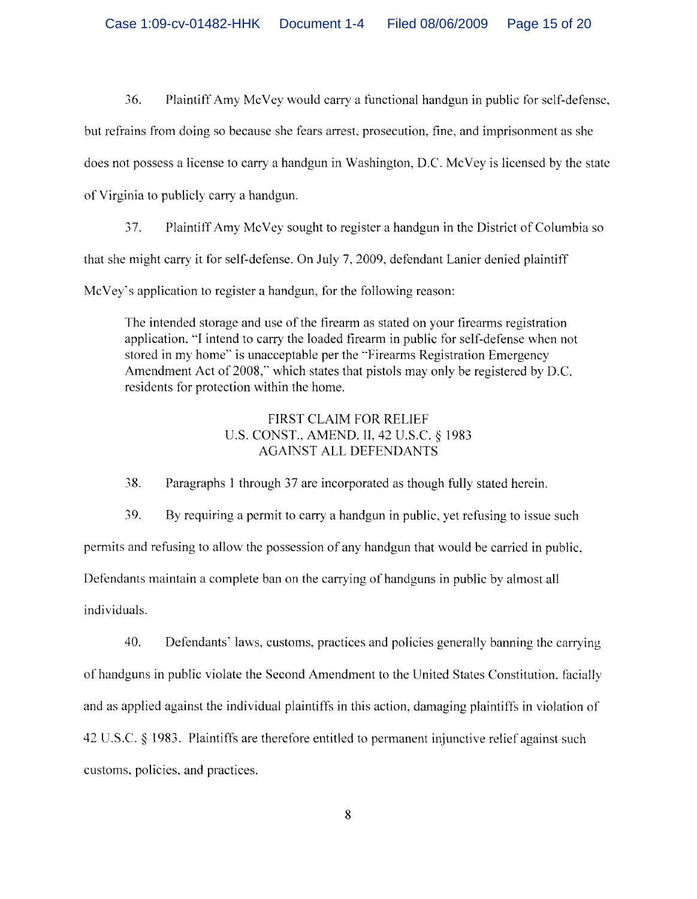Plaintiff Amy McVey would carry a functional handgun in public for self-defense,  $36.$ 

but refrains from doing so because she fears arrest, prosecution, fine, and imprisonment as she

does not possess a license to carry a handgun in Washington, D.C. McVey is licensed by the state

of Virginia to publicly carry a handgun.

37. Plaintiff Amy McVey sought to register a handgun in the District of Columbia so that she might carry it for self-defense. On July 7, 2009, defendant Lanier denied plaintiff McVey's application to register a handgun, for the following reason:

The intended storage and use of the firearm as stated on your firearms registration application, "I intend to carry the loaded firearm in public for self-defense when not stored in my home" is unacceptable per the "Firearms Registration Emergency" Amendment Act of 2008," which states that pistols may only be registered by D.C. residents for protection within the home.

## FIRST CLAIM FOR RELIEF U.S. CONST., AMEND. II, 42 U.S.C. § 1983 **AGAINST ALL DEFENDANTS**

38. Paragraphs 1 through 37 are incorporated as though fully stated herein.

39. By requiring a permit to carry a handgun in public, yet refusing to issue such

permits and refusing to allow the possession of any handgun that would be carried in public.

Defendants maintain a complete ban on the carrying of handguns in public by almost all

individuals.

40. Defendants' laws, customs, practices and policies generally banning the carrying of handguns in public violate the Second Amendment to the United States Constitution, facially and as applied against the individual plaintiffs in this action, damaging plaintiffs in violation of 42 U.S.C. § 1983. Plaintiffs are therefore entitled to permanent injunctive relief against such customs, policies, and practices.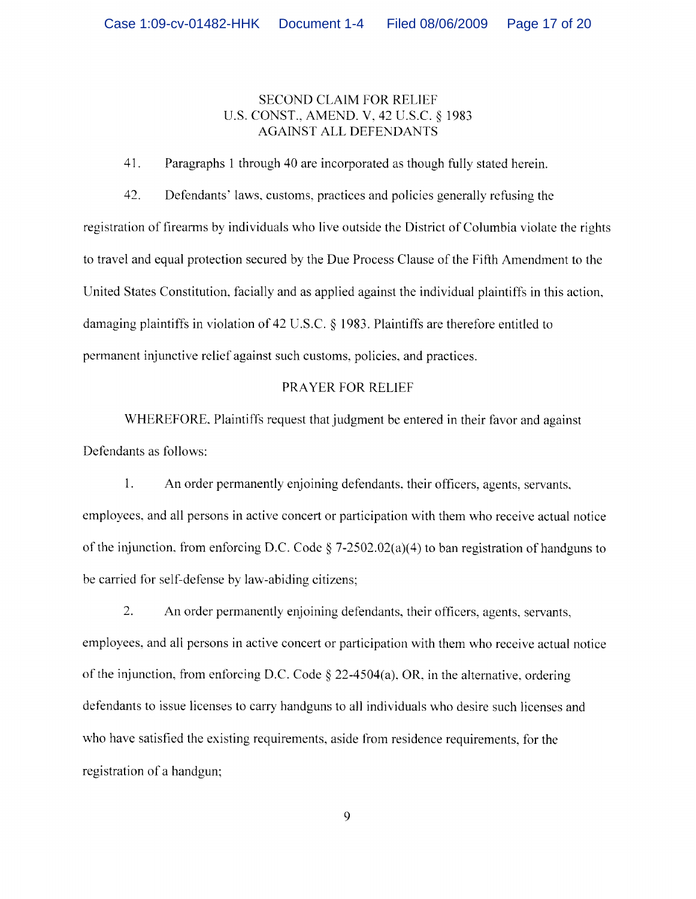### **SECOND CLAIM FOR RELIEF** U.S. CONST., AMEND. V, 42 U.S.C. § 1983 **AGAINST ALL DEFENDANTS**

Paragraphs 1 through 40 are incorporated as though fully stated herein. 41.

42. Defendants' laws, customs, practices and policies generally refusing the registration of firearms by individuals who live outside the District of Columbia violate the rights to travel and equal protection secured by the Due Process Clause of the Fifth Amendment to the United States Constitution, facially and as applied against the individual plaintiffs in this action, damaging plaintiffs in violation of 42 U.S.C.  $\S$  1983. Plaintiffs are therefore entitled to permanent injunctive relief against such customs, policies, and practices.

#### PRAYER FOR RELIEF

WHEREFORE, Plaintiffs request that judgment be entered in their favor and against Defendants as follows:

1. An order permanently enjoining defendants, their officers, agents, servants, employees, and all persons in active concert or participation with them who receive actual notice of the injunction, from enforcing D.C. Code  $\S$  7-2502.02(a)(4) to ban registration of handguns to be carried for self-defense by law-abiding citizens:

 $2.$ An order permanently enjoining defendants, their officers, agents, servants, employees, and all persons in active concert or participation with them who receive actual notice of the injunction, from enforcing D.C. Code  $\S$  22-4504(a), OR, in the alternative, ordering defendants to issue licenses to carry handguns to all individuals who desire such licenses and who have satisfied the existing requirements, aside from residence requirements, for the registration of a handgun;

9